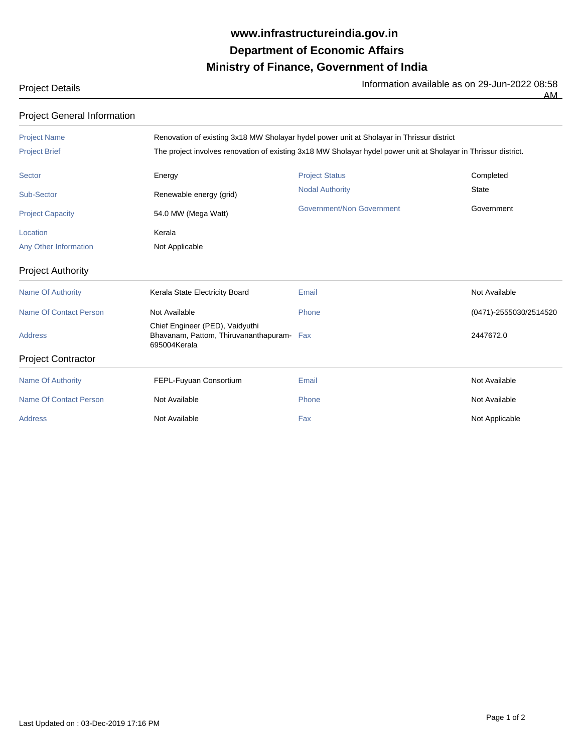## **Ministry of Finance, Government of India Department of Economic Affairs www.infrastructureindia.gov.in**

Project Details **Information available as on 29-Jun-2022 08:58** 

| <b>Project General Information</b> |                                                                                                                 |                           |                        |  |
|------------------------------------|-----------------------------------------------------------------------------------------------------------------|---------------------------|------------------------|--|
| <b>Project Name</b>                | Renovation of existing 3x18 MW Sholayar hydel power unit at Sholayar in Thrissur district                       |                           |                        |  |
| <b>Project Brief</b>               | The project involves renovation of existing 3x18 MW Sholayar hydel power unit at Sholayar in Thrissur district. |                           |                        |  |
| <b>Sector</b>                      | Energy                                                                                                          | <b>Project Status</b>     | Completed              |  |
| <b>Sub-Sector</b>                  | Renewable energy (grid)                                                                                         | <b>Nodal Authority</b>    | <b>State</b>           |  |
| <b>Project Capacity</b>            | 54.0 MW (Mega Watt)                                                                                             | Government/Non Government | Government             |  |
| Location                           | Kerala                                                                                                          |                           |                        |  |
| Any Other Information              | Not Applicable                                                                                                  |                           |                        |  |
| <b>Project Authority</b>           |                                                                                                                 |                           |                        |  |
| <b>Name Of Authority</b>           | Kerala State Electricity Board                                                                                  | Email                     | Not Available          |  |
| <b>Name Of Contact Person</b>      | Not Available                                                                                                   | Phone                     | (0471)-2555030/2514520 |  |
| <b>Address</b>                     | Chief Engineer (PED), Vaidyuthi<br>Bhavanam, Pattom, Thiruvananthapuram- Fax<br>695004Kerala                    |                           | 2447672.0              |  |
| <b>Project Contractor</b>          |                                                                                                                 |                           |                        |  |
| <b>Name Of Authority</b>           | FEPL-Fuyuan Consortium                                                                                          | Email                     | Not Available          |  |
| <b>Name Of Contact Person</b>      | Not Available                                                                                                   | Phone                     | Not Available          |  |
| <b>Address</b>                     | Not Available                                                                                                   | Fax                       | Not Applicable         |  |

AM